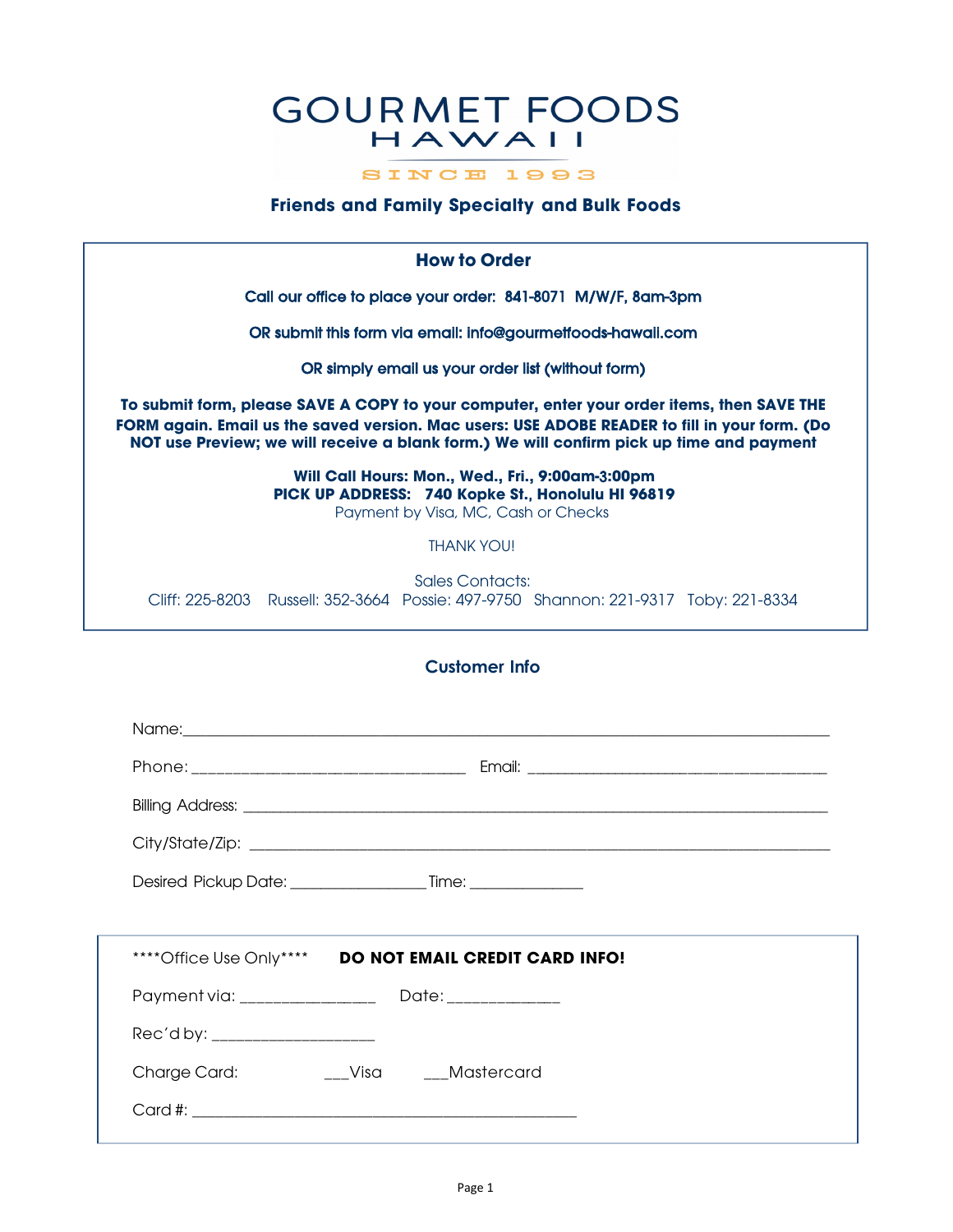## **GOURMET FOODS** HAWAII

SINCE 1993

## **Friends and Family Specialty and Bulk Foods**

**How to Order**

Call our office to place your order: 841-8071 M/W/F, 8am-3pm

OR submit this form via email: info@gourmetfoods-hawaii.com

OR simply email us your order list (without form)

**To submit form, please SAVE A COPY to your computer, enter your order items, then SAVE THE FORM again. Email us the saved version. Mac users: USE ADOBE READER to fill in your form. (Do NOT use Preview; we will receive a blank form.) We will confirm pick up time and payment**

> **Will Call Hours: Mon., Wed., Fri., 9:00am-**3**:00pm PICK UP ADDRESS: 740 Kopke St.**, **Honolulu HI 96819** Payment by Visa, MC, Cash or Checks

> > THANK YOU!

Sales Contacts: Cliff: 225-8203 Russell: 352-3664 Possie: 497-9750 Shannon: 221-9317 Toby: 221-8334

## **Customer Info**

|                                 | Name: 1980 - 1980 - 1980 - 1980 - 1980 - 1980 - 1980 - 1980 - 1980 - 1980 - 1980 - 1980 - 1980 - 1980 - 1980 - |  |
|---------------------------------|----------------------------------------------------------------------------------------------------------------|--|
|                                 |                                                                                                                |  |
|                                 |                                                                                                                |  |
|                                 |                                                                                                                |  |
|                                 |                                                                                                                |  |
|                                 |                                                                                                                |  |
|                                 | **** Office Use Only**** DO NOT EMAIL CREDIT CARD INFO!                                                        |  |
|                                 |                                                                                                                |  |
| Rec'd by: _____________________ |                                                                                                                |  |
| Charge Card:                    | ___Visa ____Mastercard                                                                                         |  |
|                                 |                                                                                                                |  |
|                                 |                                                                                                                |  |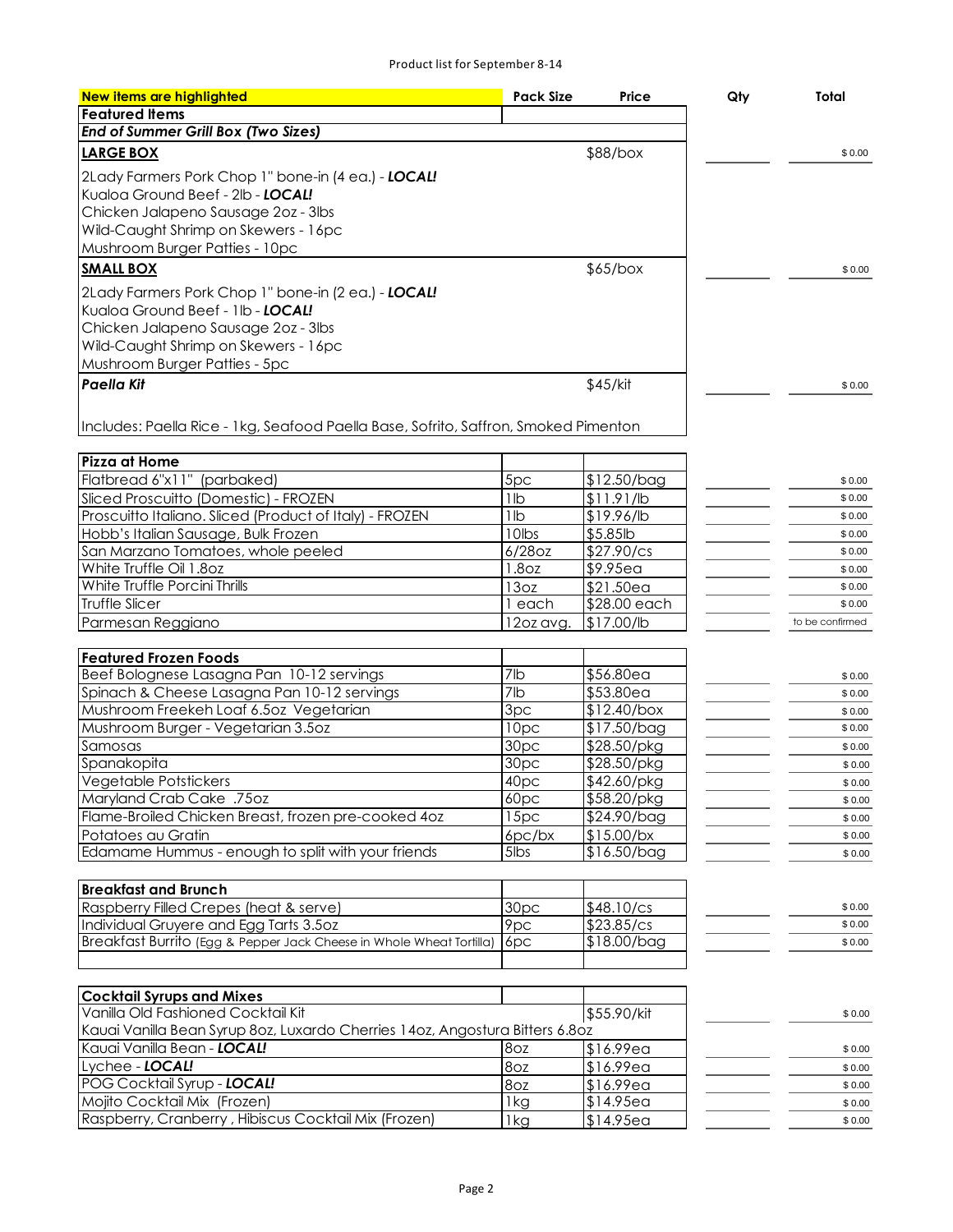| New items are highlighted                                                            | <b>Pack Size</b>   | Price                  | Qty | Total            |
|--------------------------------------------------------------------------------------|--------------------|------------------------|-----|------------------|
| <b>Featured Items</b>                                                                |                    |                        |     |                  |
| <b>End of Summer Grill Box (Two Sizes)</b>                                           |                    |                        |     |                  |
|                                                                                      |                    |                        |     |                  |
| <b>LARGE BOX</b>                                                                     |                    | \$88/box               |     | \$0.00           |
| 2Lady Farmers Pork Chop 1" bone-in (4 ea.) - LOCAL!                                  |                    |                        |     |                  |
| Kualoa Ground Beef - 2lb - LOCAL!                                                    |                    |                        |     |                  |
| Chicken Jalapeno Sausage 2oz - 3lbs                                                  |                    |                        |     |                  |
| Wild-Caught Shrimp on Skewers - 16pc                                                 |                    |                        |     |                  |
| Mushroom Burger Patties - 10pc                                                       |                    |                        |     |                  |
| <b>SMALL BOX</b>                                                                     |                    | \$65/box               |     | \$0.00           |
| 2Lady Farmers Pork Chop 1" bone-in (2 ea.) - LOCAL!                                  |                    |                        |     |                  |
| Kualoa Ground Beef - 1lb - LOCAL!                                                    |                    |                        |     |                  |
| Chicken Jalapeno Sausage 2oz - 3lbs                                                  |                    |                        |     |                  |
| Wild-Caught Shrimp on Skewers - 16pc                                                 |                    |                        |     |                  |
| Mushroom Burger Patties - 5pc                                                        |                    |                        |     |                  |
| <b>Paella Kit</b>                                                                    |                    | \$45/kit               |     | \$0.00           |
|                                                                                      |                    |                        |     |                  |
|                                                                                      |                    |                        |     |                  |
| Includes: Paella Rice - 1 kg, Seafood Paella Base, Sofrito, Saffron, Smoked Pimenton |                    |                        |     |                  |
|                                                                                      |                    |                        |     |                  |
| <b>Pizza at Home</b><br>Flatbread 6"x11" (parbaked)                                  | 5pc                |                        |     |                  |
|                                                                                      |                    | $$12.50/b$ ag          |     | \$0.00           |
| Sliced Proscuitto (Domestic) - FROZEN                                                | 1lb                | \$11.91/lb             |     | \$0.00           |
| Proscuitto Italiano. Sliced (Product of Italy) - FROZEN                              | 1lb<br>10lbs       | \$19.96/lb<br>\$5.85lb |     | \$0.00           |
| Hobb's Italian Sausage, Bulk Frozen                                                  | 6/28oz             | \$27.90/cs             |     | \$0.00<br>\$0.00 |
| San Marzano Tomatoes, whole peeled<br>White Truffle Oil 1.8oz                        | 1.8 <sub>OZ</sub>  | \$9.95ea               |     | \$0.00           |
| White Truffle Porcini Thrills                                                        | 13oz               | \$21.50ea              |     | \$0.00           |
| <b>Truffle Slicer</b>                                                                | 1 each             | \$28.00 each           |     | \$0.00           |
| Parmesan Reggiano                                                                    | 12oz avg.          | \$17.00/lb             |     | to be confirmed  |
|                                                                                      |                    |                        |     |                  |
| <b>Featured Frozen Foods</b>                                                         |                    |                        |     |                  |
| Beef Bolognese Lasagna Pan 10-12 servings                                            | 7lb                | \$56.80ea              |     | \$0.00           |
| Spinach & Cheese Lasagna Pan 10-12 servings                                          | $\overline{7}$ lb  | \$53.80ea              |     | \$0.00           |
| Mushroom Freekeh Loaf 6.5oz Vegetarian                                               | $\overline{3}$ pc  | \$12.40/box            |     | \$0.00           |
| Mushroom Burger - Vegetarian 3.5oz                                                   | $\overline{10}$ pc | $$17.50/b$ ag          |     | \$0.00           |
| Samosas                                                                              | 30pc               | \$28.50/pkg            |     | \$0.00           |
| Spanakopita                                                                          | 30pc               | $\sqrt{28.50}$ /pkg    |     | \$0.00           |
| Vegetable Potstickers                                                                | 40pc               | \$42.60/pkg            |     | \$0.00           |
| Maryland Crab Cake .75oz                                                             | 60pc               | \$58.20/pkg            |     | \$0.00           |
| Flame-Broiled Chicken Breast, frozen pre-cooked 4oz                                  | 15pc               | \$24.90/bag            |     | \$0.00           |
| Potatoes au Gratin                                                                   | $6pc$ / $bx$       | $$15.00$ /bx           |     | \$0.00           |
| Edamame Hummus - enough to split with your friends                                   | $5$ lbs            | \$16.50/bag            |     | \$0.00           |
|                                                                                      |                    |                        |     |                  |
| <b>Breakfast and Brunch</b>                                                          |                    |                        |     |                  |
| Raspberry Filled Crepes (heat & serve)                                               | 30pc               | \$48.10/cs             |     | \$0.00           |
| Individual Gruyere and Egg Tarts 3.5oz                                               | 9pc                | \$23.85/cs             |     | \$0.00           |
| Breakfast Burrito (Egg & Pepper Jack Cheese in Whole Wheat Tortilla)                 | 6pc                | \$18.00/bag            |     | \$0.00           |
|                                                                                      |                    |                        |     |                  |
|                                                                                      |                    |                        |     |                  |
| <b>Cocktail Syrups and Mixes</b>                                                     |                    |                        |     |                  |
| Vanilla Old Fashioned Cocktail Kit                                                   |                    | \$55.90/kit            |     | \$0.00           |
| Kauai Vanilla Bean Syrup 80z, Luxardo Cherries 140z, Angostura Bitters 6.80z         |                    |                        |     |                  |
| Kauai Vanilla Bean - LOCAL!                                                          | 8oz                | \$16.99ea              |     | \$0.00           |
| Lychee - LOCAL!                                                                      | 8oz                | \$16.99ea              |     | \$0.00           |
| POG Cocktail Syrup - LOCAL!                                                          | 8oz                | \$16.99ea              |     | \$0.00           |
| Mojito Cocktail Mix (Frozen)                                                         | 1kg                | \$14.95ea              |     | \$0.00           |
| Raspberry, Cranberry, Hibiscus Cocktail Mix (Frozen)                                 | 1kg                | \$14.95ea              |     | \$0.00           |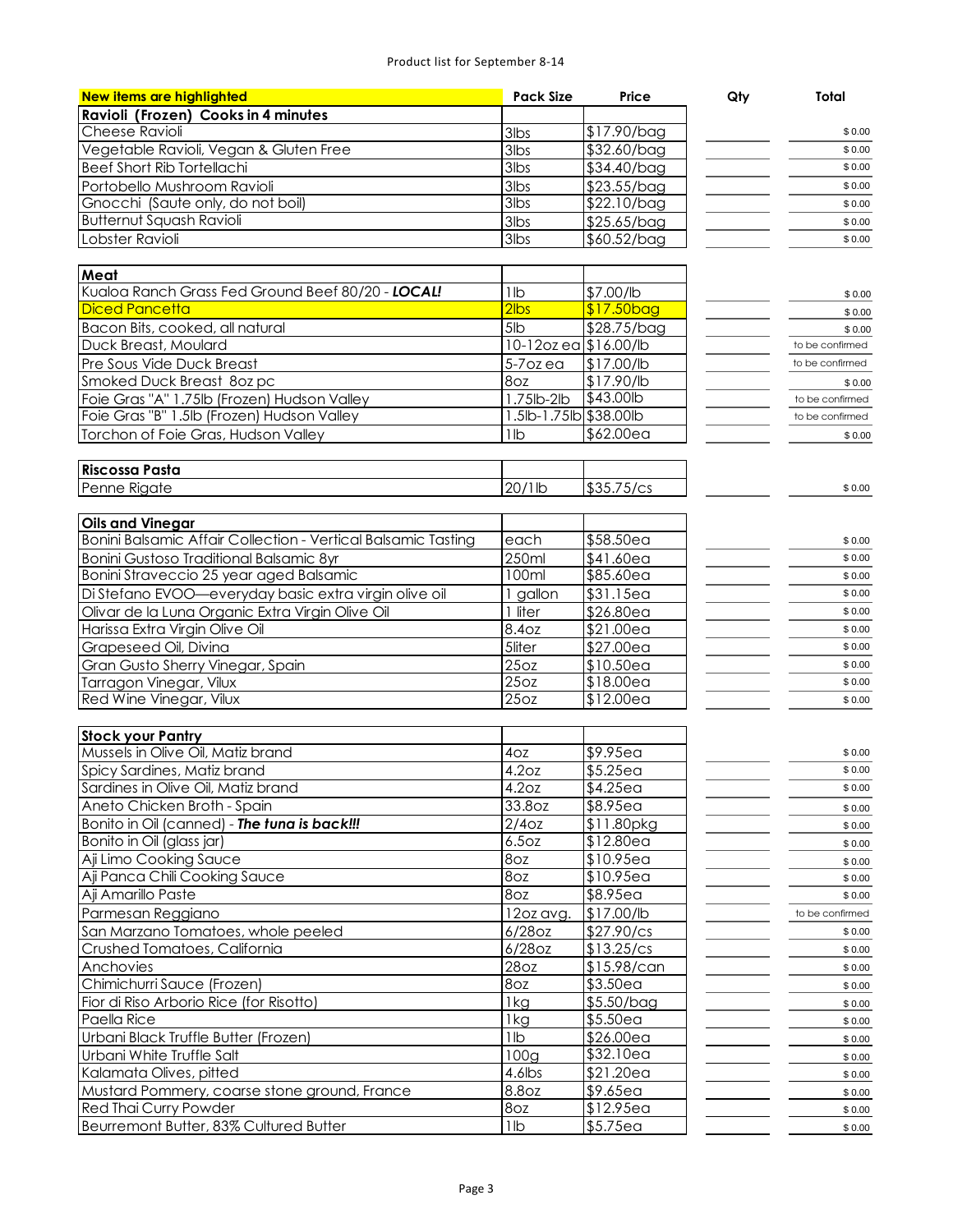## Product list for September 8-14

| New items are highlighted                                     | <b>Pack Size</b>       | Price                   | Qty | Total           |
|---------------------------------------------------------------|------------------------|-------------------------|-----|-----------------|
| Ravioli (Frozen) Cooks in 4 minutes                           |                        |                         |     |                 |
| Cheese Ravioli                                                | 3lbs                   | $$17.90/b$ ag           |     | \$0.00          |
| Vegetable Ravioli, Vegan & Gluten Free                        | 3lbs                   | $$32.60/b$ ag           |     | \$0.00          |
| <b>Beef Short Rib Tortellachi</b>                             | $3$ lbs                | \$34.40/bag             |     | \$0.00          |
| Portobello Mushroom Ravioli                                   | 3lbs                   | \$23.55/bag             |     | \$0.00          |
| Gnocchi (Saute only, do not boil)                             | $3$ lbs                | \$22.10/bag             |     | \$0.00          |
| <b>Butternut Squash Ravioli</b>                               | 3lbs                   | $$25.65/b$ ag           |     | \$0.00          |
| Lobster Ravioli                                               | 3lbs                   | $$60.52/b$ ag           |     | \$0.00          |
|                                                               |                        |                         |     |                 |
| Meat                                                          |                        |                         |     |                 |
| Kualoa Ranch Grass Fed Ground Beef 80/20 - LOCAL!             | 1lb                    | \$7.00/lb               |     | \$0.00          |
| <b>Diced Pancetta</b>                                         | $2$ lbs                | \$17.50bag              |     | \$0.00          |
| Bacon Bits, cooked, all natural                               | 5lb                    | \$28.75/bag             |     | \$0.00          |
| Duck Breast, Moulard                                          | 10-12oz ea \$16.00/lb  |                         |     | to be confirmed |
| Pre Sous Vide Duck Breast                                     | 5-7ozea                | \$17.00/lb              |     | to be confirmed |
| Smoked Duck Breast 8oz pc                                     | 8oz                    | $\sqrt{17.90}$ /lb      |     | \$0.00          |
| Foie Gras "A" 1.75lb (Frozen) Hudson Valley                   | $1.75$ lb-2lb          | \$43,00lb               |     | to be confirmed |
| Foie Gras "B" 1.5lb (Frozen) Hudson Valley                    | 1.5lb-1.75lb \$38.00lb |                         |     | to be confirmed |
| Torchon of Foie Gras, Hudson Valley                           | 1 <sub>lb</sub>        | \$62.00ea               |     | \$0.00          |
|                                                               |                        |                         |     |                 |
| <b>Riscossa Pasta</b>                                         |                        |                         |     |                 |
| Penne Rigate                                                  | 20/1lb                 | \$35.75/cs              |     | \$0.00          |
|                                                               |                        |                         |     |                 |
| <b>Oils and Vinegar</b>                                       |                        |                         |     |                 |
| Bonini Balsamic Affair Collection - Vertical Balsamic Tasting | each                   | $$58.50$ ea             |     | \$0.00          |
| <b>Bonini Gustoso Traditional Balsamic 8yr</b>                | 250ml                  | \$41.60ea               |     | \$0.00          |
| Bonini Straveccio 25 year aged Balsamic                       | 100ml                  | \$85.60ea               |     | \$0.00          |
| Di Stefano EVOO-everyday basic extra virgin olive oil         | 1 gallon               | \$31.15ea               |     | \$0.00          |
| Olivar de la Luna Organic Extra Virgin Olive Oil              | 1 liter                | \$26.80ea               |     | \$0.00          |
| Harissa Extra Virgin Olive Oil                                | 8.4oz                  | \$21.00ea               |     | \$0.00          |
| Grapeseed Oil, Divina                                         | 5liter                 | \$27.00ea               |     | \$0.00          |
| Gran Gusto Sherry Vinegar, Spain                              | 25oz                   | \$10.50ea               |     | \$0.00          |
| Tarragon Vinegar, Vilux                                       | 25oz                   | $$18.00$ ea             |     | \$0.00          |
| Red Wine Vinegar, Vilux                                       | 25oz                   | \$12.00ea               |     | \$0.00          |
|                                                               |                        |                         |     |                 |
| <b>Stock your Pantry</b>                                      |                        |                         |     |                 |
| Mussels in Olive Oil, Matiz brand                             | 40z                    | \$9.95ea                |     | \$0.00          |
| Spicy Sardines, Matiz brand                                   | 4.2oz                  | $$5.25$ ea              |     | \$0.00          |
| Sardines in Olive Oil, Matiz brand                            | 4.2oz                  | $$4.25$ ea              |     | \$0.00          |
| Aneto Chicken Broth - Spain                                   | 33.8oz                 | \$8.95ea                |     | \$0.00          |
| Bonito in Oil (canned) - The tuna is back!!!                  | $\overline{2/4}$ oz    | $\overline{$}11.80$ pkg |     | \$0.00          |
| Bonito in Oil (glass jar)                                     | 6.5oz                  | $$12.80e$ a             |     | \$0.00          |
| Aji Limo Cooking Sauce                                        | 80z                    | $$10.95$ ea             |     | \$0.00          |
| Aji Panca Chili Cooking Sauce                                 | 80z                    | \$10.95ea               |     | \$0.00          |
| Aji Amarillo Paste                                            | 8oz                    | \$8.95ea                |     | \$0.00          |
| Parmesan Reggiano                                             | 12oz avg.              | \$17.00/lb              |     | to be confirmed |
| San Marzano Tomatoes, whole peeled                            | $6/28$ OZ              | \$27.90/cs              |     | \$0.00          |
| Crushed Tomatoes, California                                  | $6/28$ oz              | \$13.25/cs              |     | \$0.00          |
| Anchovies                                                     | 28oz                   | \$15.98/can             |     | \$0.00          |
| Chimichurri Sauce (Frozen)                                    | 8oz                    | \$3.50ea                |     | \$0.00          |
| Fior di Riso Arborio Rice (for Risotto)                       | 1kg                    | $$5.50/b$ ag            |     | \$0.00          |
| Paella Rice                                                   | 1kg                    | \$5.50ea                |     | \$0.00          |
| Urbani Black Truffle Butter (Frozen)                          | 1lb                    | \$26.00ea               |     |                 |
| Urbani White Truffle Salt                                     | 100g                   | \$32.10ea               |     | \$0.00          |
| Kalamata Olives, pitted                                       | 4.6lbs                 | \$21.20ea               |     | \$0.00          |
| Mustard Pommery, coarse stone ground, France                  | 8.8oz                  | \$9.65ea                |     | \$0.00          |
| Red Thai Curry Powder                                         | 8oz                    | $\overline{\$12.95e}$ a |     | \$0.00          |
|                                                               | 1lb                    |                         |     | \$0.00          |
| Beurremont Butter, 83% Cultured Butter                        |                        | \$5.75ea                |     | \$0.00          |